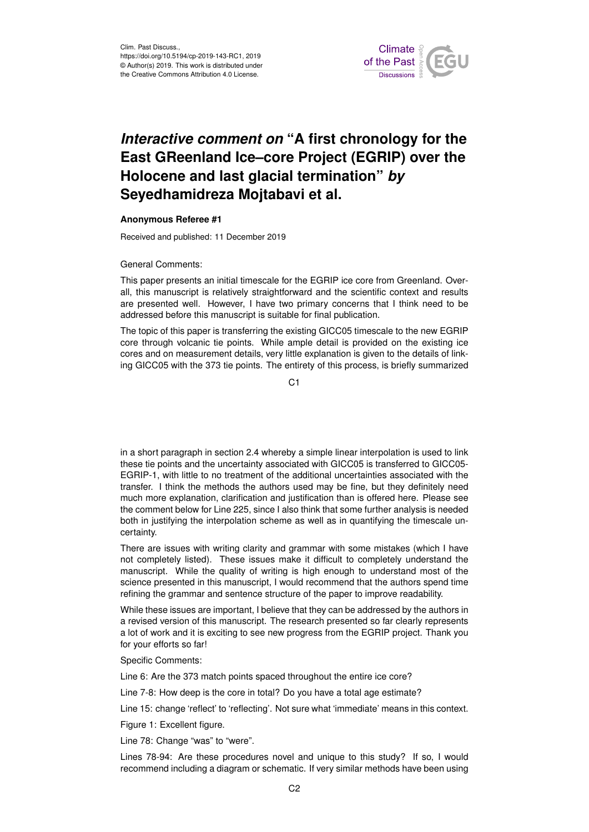

## *Interactive comment on* **"A first chronology for the East GReenland Ice–core Project (EGRIP) over the Holocene and last glacial termination"** *by* **Seyedhamidreza Mojtabavi et al.**

## **Anonymous Referee #1**

Received and published: 11 December 2019

General Comments:

This paper presents an initial timescale for the EGRIP ice core from Greenland. Overall, this manuscript is relatively straightforward and the scientific context and results are presented well. However, I have two primary concerns that I think need to be addressed before this manuscript is suitable for final publication.

The topic of this paper is transferring the existing GICC05 timescale to the new EGRIP core through volcanic tie points. While ample detail is provided on the existing ice cores and on measurement details, very little explanation is given to the details of linking GICC05 with the 373 tie points. The entirety of this process, is briefly summarized

 $C<sub>1</sub>$ 

in a short paragraph in section 2.4 whereby a simple linear interpolation is used to link these tie points and the uncertainty associated with GICC05 is transferred to GICC05- EGRIP-1, with little to no treatment of the additional uncertainties associated with the transfer. I think the methods the authors used may be fine, but they definitely need much more explanation, clarification and justification than is offered here. Please see the comment below for Line 225, since I also think that some further analysis is needed both in justifying the interpolation scheme as well as in quantifying the timescale uncertainty.

There are issues with writing clarity and grammar with some mistakes (which I have not completely listed). These issues make it difficult to completely understand the manuscript. While the quality of writing is high enough to understand most of the science presented in this manuscript, I would recommend that the authors spend time refining the grammar and sentence structure of the paper to improve readability.

While these issues are important, I believe that they can be addressed by the authors in a revised version of this manuscript. The research presented so far clearly represents a lot of work and it is exciting to see new progress from the EGRIP project. Thank you for your efforts so far!

Specific Comments:

Line 6: Are the 373 match points spaced throughout the entire ice core?

Line 7-8: How deep is the core in total? Do you have a total age estimate?

Line 15: change 'reflect' to 'reflecting'. Not sure what 'immediate' means in this context.

Figure 1: Excellent figure.

Line 78: Change "was" to "were".

Lines 78-94: Are these procedures novel and unique to this study? If so, I would recommend including a diagram or schematic. If very similar methods have been using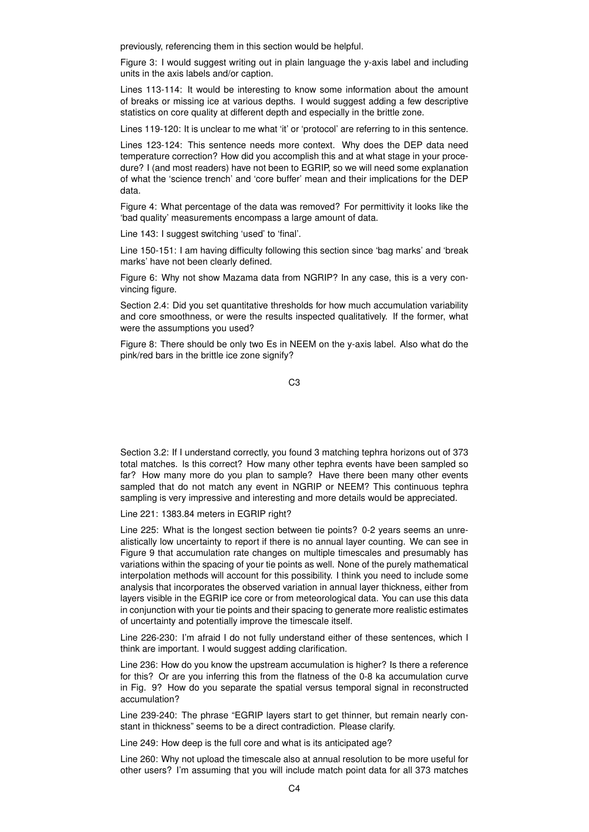previously, referencing them in this section would be helpful.

Figure 3: I would suggest writing out in plain language the y-axis label and including units in the axis labels and/or caption.

Lines 113-114: It would be interesting to know some information about the amount of breaks or missing ice at various depths. I would suggest adding a few descriptive statistics on core quality at different depth and especially in the brittle zone.

Lines 119-120: It is unclear to me what 'it' or 'protocol' are referring to in this sentence.

Lines 123-124: This sentence needs more context. Why does the DEP data need temperature correction? How did you accomplish this and at what stage in your procedure? I (and most readers) have not been to EGRIP, so we will need some explanation of what the 'science trench' and 'core buffer' mean and their implications for the DEP data.

Figure 4: What percentage of the data was removed? For permittivity it looks like the 'bad quality' measurements encompass a large amount of data.

Line 143: I suggest switching 'used' to 'final'.

Line 150-151: I am having difficulty following this section since 'bag marks' and 'break marks' have not been clearly defined.

Figure 6: Why not show Mazama data from NGRIP? In any case, this is a very convincing figure.

Section 2.4: Did you set quantitative thresholds for how much accumulation variability and core smoothness, or were the results inspected qualitatively. If the former, what were the assumptions you used?

Figure 8: There should be only two Es in NEEM on the y-axis label. Also what do the pink/red bars in the brittle ice zone signify?

C3

Section 3.2: If I understand correctly, you found 3 matching tephra horizons out of 373 total matches. Is this correct? How many other tephra events have been sampled so far? How many more do you plan to sample? Have there been many other events sampled that do not match any event in NGRIP or NEEM? This continuous tephra sampling is very impressive and interesting and more details would be appreciated.

Line 221: 1383.84 meters in EGRIP right?

Line 225: What is the longest section between tie points? 0-2 years seems an unrealistically low uncertainty to report if there is no annual layer counting. We can see in Figure 9 that accumulation rate changes on multiple timescales and presumably has variations within the spacing of your tie points as well. None of the purely mathematical interpolation methods will account for this possibility. I think you need to include some analysis that incorporates the observed variation in annual layer thickness, either from layers visible in the EGRIP ice core or from meteorological data. You can use this data in conjunction with your tie points and their spacing to generate more realistic estimates of uncertainty and potentially improve the timescale itself.

Line 226-230: I'm afraid I do not fully understand either of these sentences, which I think are important. I would suggest adding clarification.

Line 236: How do you know the upstream accumulation is higher? Is there a reference for this? Or are you inferring this from the flatness of the 0-8 ka accumulation curve in Fig. 9? How do you separate the spatial versus temporal signal in reconstructed accumulation?

Line 239-240: The phrase "EGRIP layers start to get thinner, but remain nearly constant in thickness" seems to be a direct contradiction. Please clarify.

Line 249: How deep is the full core and what is its anticipated age?

Line 260: Why not upload the timescale also at annual resolution to be more useful for other users? I'm assuming that you will include match point data for all 373 matches